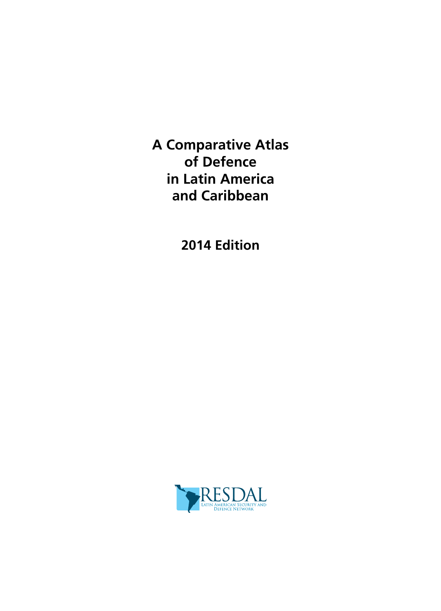**A Comparative Atlas of Defence in Latin America and Caribbean**

**2014 Edition**

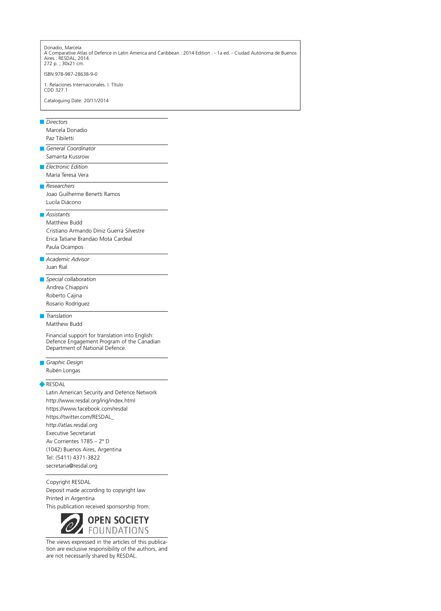Donadio, Marcela

A Comparative Atlas of Defence in Latin America and Caribbean : 2014 Edition . - 1a ed. - Ciudad Autónoma de Buenos Aires : RESDAL, 2014. 272 p. ; 30x21 cm.

ISBN 978-987-28638-9-0

1. Relaciones Internacionales. I. Título CDD 327.1

Cataloguing Date: 20/11/2014

#### *Directors*

Marcela Donadio Paz Tibiletti

*General Coordinator* Samanta Kussrow

*Electronic Edition* María Teresa Vera

*Researchers*

Joao Guilherme Benetti Ramos Lucila Diácono

# *Assistants*

Matthew Budd Cristiano Armando Diniz Guerra Silvestre Erica Tatiane Brandao Mota Cardeal Paula Ocampos

- *Academic Advisor* Juan Rial
- *Special collaboration* Andrea Chiappini Roberto Cajina Rosario Rodríguez

## *Translation*

Matthew Budd

Financial support for translation into English: Defence Engagement Program of the Canadian Department of National Defence.

*Graphic Design* Rubén Longas

### **RESDAL**

Latin American Security and Defence Network http://www.resdal.org/ing/index.html https://www.facebook.com/resdal https://twitter.com/RESDAL\_ http://atlas.resdal.org Executive Secretariat Av Corrientes 1785 – 2º D (1042) Buenos Aires, Argentina Tel: (5411) 4371-3822 secretaria@resdal.org

#### Copyright RESDAL

Deposit made according to copyright law Printed in Argentina

This publication received sponsorship from:



The views expressed in the articles of this publication are exclusive responsibility of the authors, and are not necessarily shared by RESDAL.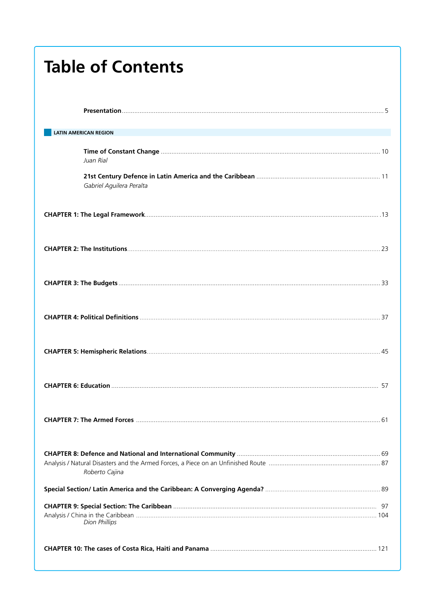| <b>Table of Contents</b>     |  |
|------------------------------|--|
|                              |  |
| <b>LATIN AMERICAN REGION</b> |  |
| Juan Rial                    |  |
| Gabriel Aguilera Peralta     |  |
|                              |  |
|                              |  |
|                              |  |
|                              |  |
|                              |  |
|                              |  |
|                              |  |
| Roberto Cajina               |  |
|                              |  |
| <b>Dion Phillips</b>         |  |
|                              |  |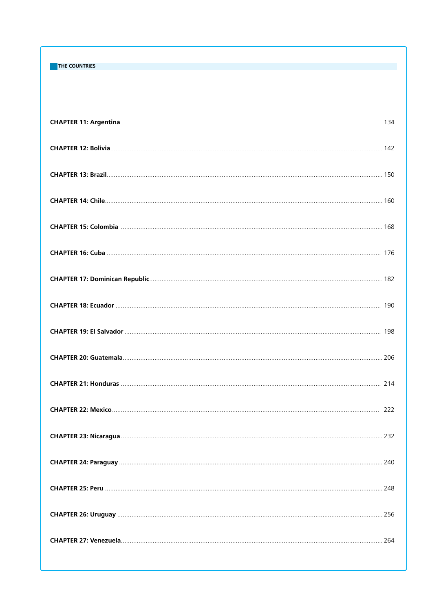# **THE COUNTRIES**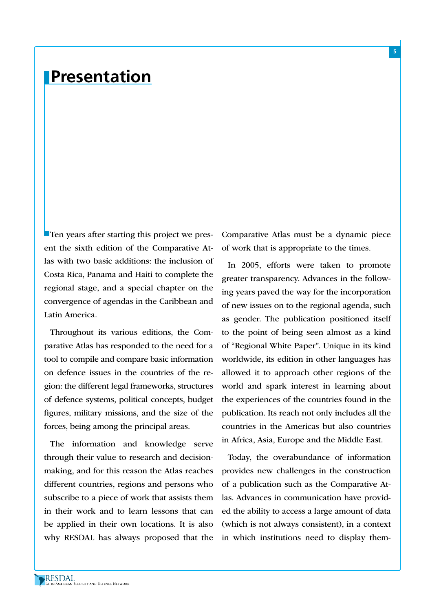# **Presentation**

Ten years after starting this project we present the sixth edition of the Comparative Atlas with two basic additions: the inclusion of Costa Rica, Panama and Haiti to complete the regional stage, and a special chapter on the convergence of agendas in the Caribbean and Latin America.

Throughout its various editions, the Comparative Atlas has responded to the need for a tool to compile and compare basic information on defence issues in the countries of the region: the different legal frameworks, structures of defence systems, political concepts, budget figures, military missions, and the size of the forces, being among the principal areas.

The information and knowledge serve through their value to research and decisionmaking, and for this reason the Atlas reaches different countries, regions and persons who subscribe to a piece of work that assists them in their work and to learn lessons that can be applied in their own locations. It is also why RESDAL has always proposed that the Comparative Atlas must be a dynamic piece of work that is appropriate to the times.

**5**

In 2005, efforts were taken to promote greater transparency. Advances in the following years paved the way for the incorporation of new issues on to the regional agenda, such as gender. The publication positioned itself to the point of being seen almost as a kind of "Regional White Paper". Unique in its kind worldwide, its edition in other languages has allowed it to approach other regions of the world and spark interest in learning about the experiences of the countries found in the publication. Its reach not only includes all the countries in the Americas but also countries in Africa, Asia, Europe and the Middle East.

Today, the overabundance of information provides new challenges in the construction of a publication such as the Comparative Atlas. Advances in communication have provided the ability to access a large amount of data (which is not always consistent), in a context in which institutions need to display them